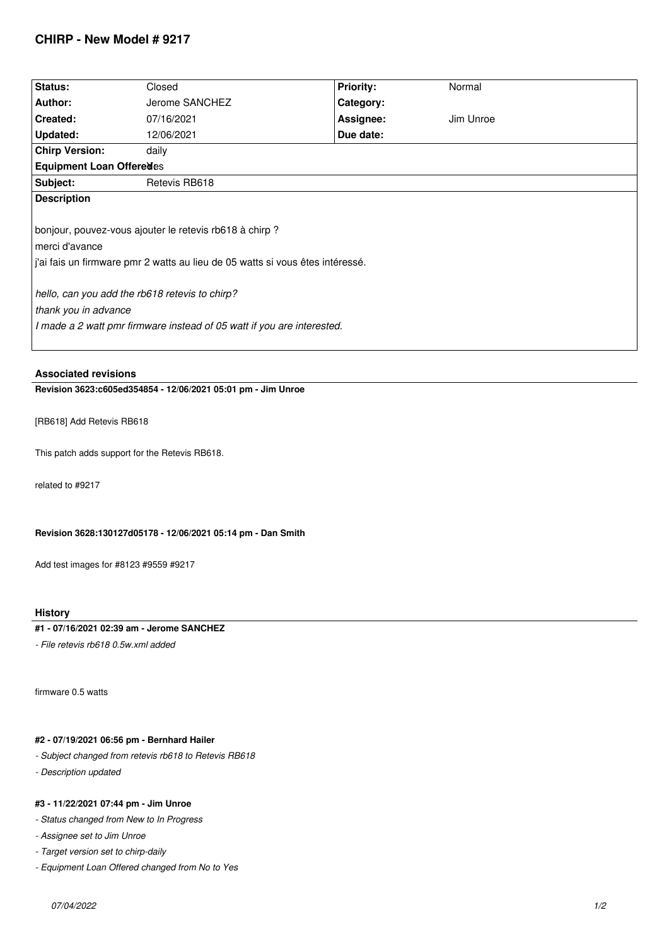# **CHIRP - New Model # 9217**

| Status:                                                                       | Closed         | <b>Priority:</b> | Normal    |  |  |
|-------------------------------------------------------------------------------|----------------|------------------|-----------|--|--|
| Author:                                                                       | Jerome SANCHEZ | Category:        |           |  |  |
| Created:                                                                      | 07/16/2021     | Assignee:        | Jim Unroe |  |  |
| Updated:                                                                      | 12/06/2021     | Due date:        |           |  |  |
| <b>Chirp Version:</b>                                                         | daily          |                  |           |  |  |
| <b>Equipment Loan Offeredes</b>                                               |                |                  |           |  |  |
| Subject:                                                                      | Retevis RB618  |                  |           |  |  |
| <b>Description</b>                                                            |                |                  |           |  |  |
|                                                                               |                |                  |           |  |  |
| bonjour, pouvez-vous ajouter le retevis rb618 à chirp ?                       |                |                  |           |  |  |
| merci d'avance                                                                |                |                  |           |  |  |
| j'ai fais un firmware pmr 2 watts au lieu de 05 watts si vous êtes intéressé. |                |                  |           |  |  |
|                                                                               |                |                  |           |  |  |
| hello, can you add the rb618 retevis to chirp?                                |                |                  |           |  |  |
| thank you in advance                                                          |                |                  |           |  |  |
| I made a 2 watt pmr firmware instead of 05 watt if you are interested.        |                |                  |           |  |  |
|                                                                               |                |                  |           |  |  |
|                                                                               |                |                  |           |  |  |

**Associated revisions**

**Revision 3623:c605ed354854 - 12/06/2021 05:01 pm - Jim Unroe** 

*[RB618] Add Retevis RB618*

*This patch adds support for the Retevis RB618.*

*related to #9217*

**Revision 3628:130127d05178 - 12/06/2021 05:14 pm - Dan Smith**

*Add test images for #8123 #9559 #9217*

## **History**

## **#1 - 07/16/2021 02:39 am - Jerome SANCHEZ**

*- File retevis rb618 0.5w.xml added*

*firmware 0.5 watts*

#### **#2 - 07/19/2021 06:56 pm - Bernhard Hailer**

*- Subject changed from retevis rb618 to Retevis RB618*

*- Description updated*

#### **#3 - 11/22/2021 07:44 pm - Jim Unroe**

*- Status changed from New to In Progress*

*- Assignee set to Jim Unroe*

*- Target version set to chirp-daily*

*- Equipment Loan Offered changed from No to Yes*